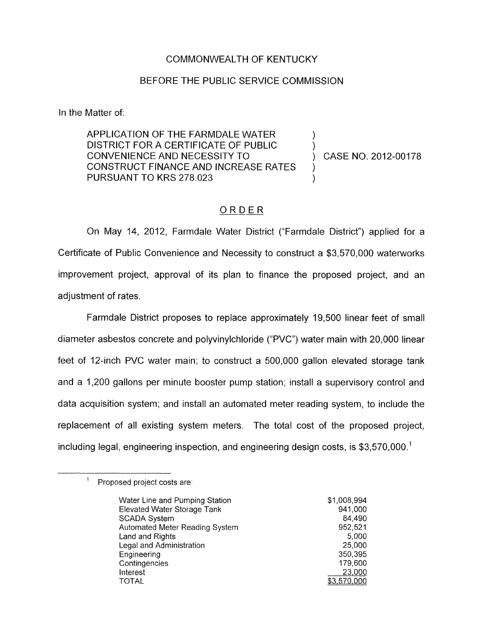## COMMONWEALTH OF KENTUCKY

## BEFORE THE PUBLIC SERVICE COMMISSION

In the Matter of:

APPLICATION OF THE FARMDALE WATER DISTRICT FOR A CERTIFICATE OF PUBLIC CONVENIENCE AND NECESSITY TO ) CASE NO. 2012-00178 CONSTRUCT FINANCE AND INCREASE RATES PURSUANT TO KRS 278.023 E OF PUBLIC<br>ITY TO  $\begin{array}{c} , \hbox{C}, \hbox{C}, \hbox{C}, \hbox{C}, \hbox{C}, \hbox{C}, \hbox{C}, \hbox{C}, \hbox{C}, \hbox{C}, \hbox{C}, \hbox{C}, \hbox{C}, \hbox{C}, \hbox{C}, \hbox{C}, \hbox{C}, \hbox{C}, \hbox{C}, \hbox{C}, \hbox{C}, \hbox{C}, \hbox{C}, \hbox{C}, \hbox{C}, \hbox{C}, \hbox{C}, \hbox{C}, \hbox{C}, \hbox{C}, \hbox{C}, \hbox{C}, \h$ 

1 )

)

On May 14, 2012, Farmdale Water District ("Farmdale District") applied for a Certificate of Public Convenience and Necessity to construct a \$3,570,000 waterworks improvement project, approval of its plan to finance the proposed project, and an adjustment of rates.

Farmdale District proposes to replace approximately 19,500 linear feet of small diameter asbestos concrete and polyvinylchloride ("PVC") water main with 20,000 linear feet of 12-inch PVC water main; to construct a 500,000 gallon elevated storage tank and a 1,200 gallons per minute booster pump station; install a supervisory control and data acquisition system; and install an automated meter reading system, to include the replacement of all existing system meters. The total cost of the proposed project, including legal, engineering inspection, and engineering design costs, is \$3,570,000.'

<sup>&</sup>lt;sup>1</sup> Proposed project costs are:

| Water Line and Pumping Station | \$1,008,994 |
|--------------------------------|-------------|
| Elevated Water Storage Tank    | 941,000     |
| <b>SCADA System</b>            | 84,490      |
| Automated Meter Reading System | 952,521     |
| Land and Rights                | 5,000       |
| Legal and Administration       | 25,000      |
| Engineering                    | 350,395     |
| Contingencies                  | 179,600     |
| Interest                       | 23,000      |
| <b>TOTAL</b>                   | \$3,570,000 |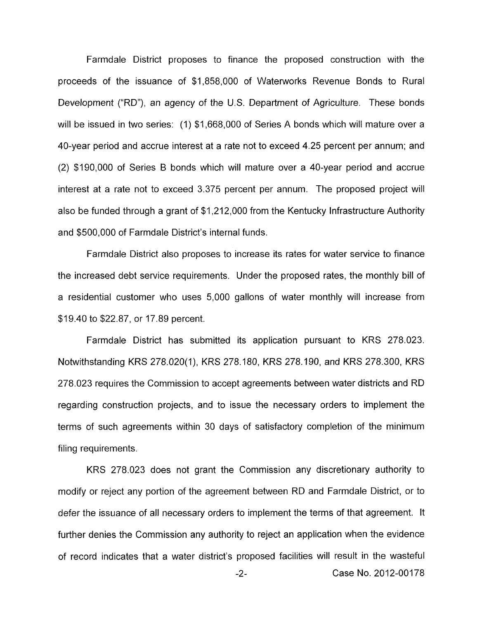Farmdale District proposes to finance the proposed construction with the proceeds of the issuance of \$1,858,000 of Waterworks Revenue Bonds to Rural Development ("RD"), an agency of the U.S. Department of Agriculture. These bonds will be issued in two series: (1) \$1,668,000 of Series A bonds which will mature over a 40-year period and accrue interest at a rate not to exceed 4.25 percent per annum; and (2) \$190,000 of Series B bonds which will mature over a 40-year period and accrue interest at a rate not to exceed 3.375 percent per annum. The proposed project will also be funded through a grant of \$1,212,000 from the Kentucky Infrastructure Authority and \$500,000 of Farmdale District's internal funds.

Farmdale District also proposes to increase its rates for water service to finance the increased debt service requirements. Under the proposed rates, the monthly bill of a residential customer who uses 5,000 gallons of water monthly will increase from \$19.40 to \$22.87, or 17.89 percent.

Farmdale District has submitted its application pursuant to KRS 278.023. Notwithstanding KRS 278.020(1), KRS 278.180, KRS 278.190, and KRS 278.300, KRS 278.023 requires the Commission to accept agreements between water districts and RD regarding construction projects, and to issue the necessary orders to implement the terms of such agreements within 30 days of satisfactory completion of the minimum filing requirements.

KRS 278.023 does not grant the Commission any discretionary authority to modify or reject any portion of the agreement between RD and Farmdale District, or to defer the issuance of all necessary orders to implement the terms of that agreement. It further denies the Commission any authority to reject an application when the evidence of record indicates that a water district's proposed facilities will result in the wasteful

-2- Case No. 2012-00178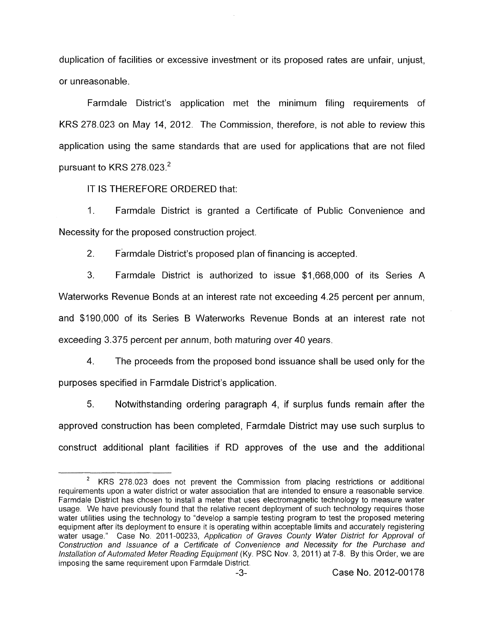duplication of facilities or excessive investment or its proposed rates are unfair, unjust, or unreasonable,

Farmdale District's application met the minimum filing requirements of KRS 278.023 on May 14, 2012. The Commission, therefore, is not able to review this application using the same standards that are used for applications that are not filed pursuant to KRS 278.023. $^2$ 

IT IS THEREFORE ORDERED that:

1. Farmdale District is granted a Certificate of Public Convenience and Necessity for the proposed construction project.

2. Farmdale District's proposed plan of financing is accepted.

3. Farmdale District is authorized to issue \$1,668,000 of its Series A Waterworks Revenue Bonds at an interest rate not exceeding 4.25 percent per annum, and \$190,000 of its Series B Waterworks Revenue Bonds at an interest rate not exceeding 3.375 percent per annum, both maturing over 40 years

4. The proceeds from the proposed bond issuance shall be used only for the purposes specified in Farmdale District's application.

5. Notwithstanding ordering paragraph 4, if surplus funds remain after the approved construction has been completed, Farmdale District may use such surplus to construct additional plant facilities if RD approves of the use and the additional

KRS 278.023 does not prevent the Commission from placing restrictions or additional requirements upon a water district or water association that are intended to ensure a reasonable service. Farmdale District has chosen to install a meter that uses electromagnetic technology to measure water usage. We have previously found that the relative recent deployment of such technology requires those water utilities using the technology to "develop a sample testing program to test the proposed metering equipment after its deployment to ensure it is operating within acceptable limits and accurately registering water usage." Case No. 2011-00233, Application of Graves County Water District for Approval of *Construction and lssuance of a Certificate of Convenience and Necessity for the Purchase and Installation of Automated Meter Reading Equipment* (Ky. PSC Nov. 3, 2011) at 7-8. By this Order, we are imposing the same requirement upon Farmdale District **2**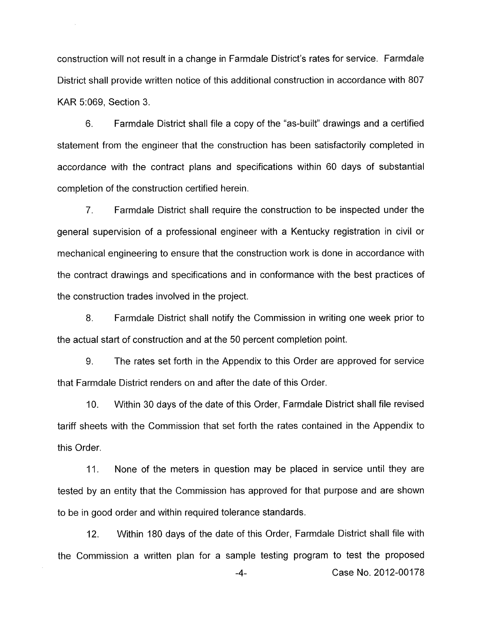construction will not result in a change in Farmdale District's rates for service. Farmdale District shall provide written notice of this additional construction in accordance with 807 KAR 51069, Section 3.

 $\hat{\mathcal{A}}$ 

6. Farmdale District shall file a copy of the "as-built" drawings and a certified statement from the engineer that the construction has been satisfactorily completed in accordance with the contract plans and specifications within 60 days of substantial completion of the construction certified herein.

7. Farmdale District shall require the construction to be inspected under the general supervision of a professional engineer with a Kentucky registration in civil or mechanical engineering to ensure that the construction work is done in accordance with the contract drawings and specifications and in conformance with the best practices of the construction trades involved in the project.

8. Farmdale District shall notify the Commission in writing one week prior to the actual start of construction and at the 50 percent completion point.

9. The rates set forth in the Appendix to this Order are approved for service that Farmdale District renders on and after the date of this Order.

IO. Within 30 days of the date of this Order, Farmdale District shall file revised tariff sheets with the Commission that set forth the rates contained in the Appendix to this Order.

11. None of the meters in question may be placed in service until they are tested by an entity that the Commission has approved for that purpose and are shown to be in good order and within required tolerance standards.

12. Within 180 days of the date of this Order, Farmdale District shall file with the Commission a written plan for a sample testing program to test the proposed

**-4-** Case No. 2012-00178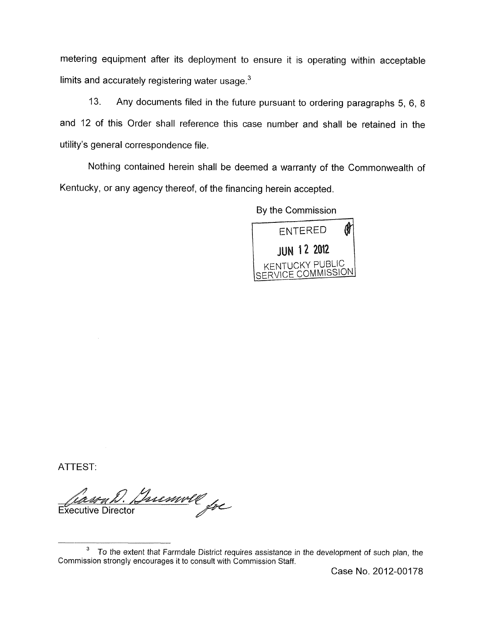metering equipment after its deployment to ensure it is operating within acceptable limits and accurately registering water usage. $3$ 

13. Any documents filed in the future pursuant to ordering paragraphs 5, 6, 8 and 12 of this Order shall reference this case number and shall be retained in the utility's general correspondence file.

Nothing contained herein shall be deemed a warranty of the Commonwealth of Kentucky, or any agency thereof, of the financing herein accepted,

By the Commission



ATTEST:

Insurell for **Executive Director** 

*To* the extent that Farmdale District requires assistance in the development *of* such plan, the **3**  Commission strongly encourages it to consult with Commission Staff.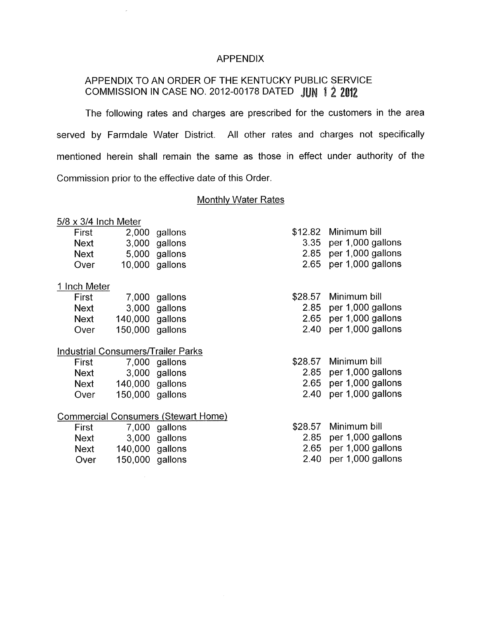## APPENDIX

# APPENDIX TO AN ORDER OF THE KENTUCKY PUBLIC SERVICE COMMISSION IN CASE NO. 2012-00178 DATED

The following rates and charges are prescribed for the customers in the area served by Farmdale Water District. All other rates and charges not specifically mentioned herein shall remain the same as those in effect under authority of the Commission prior to the effective date of this Order.

## Monthly Water Rates

#### 5/8 x 3/4 Inch Meter

| First       | 2,000 gallons  |
|-------------|----------------|
| <b>Next</b> | 3,000 gallons  |
| Next        | 5,000 gallons  |
| Over        | 10,000 gallons |

#### 1 Inch Meter

| <b>First</b> |                 | 7,000 gallons |
|--------------|-----------------|---------------|
| Next         |                 | 3,000 gallons |
| Next         | 140,000 gallons |               |
| Over         | 150,000 gallons |               |

#### Industrial Consumers/Trailer Parks

| First       |                 | 7,000 gallons |
|-------------|-----------------|---------------|
| <b>Next</b> |                 | 3,000 gallons |
| Next        | 140,000 gallons |               |
| Over        | 150,000 gallons |               |

# Commercial Consumers (Stewart Home)

| First |                 | 7,000 gallons |
|-------|-----------------|---------------|
| Next  |                 | 3,000 gallons |
| Next  | 140,000 gallons |               |
| Over  | 150,000 gallons |               |

| \$12.82 Minimum bill     |
|--------------------------|
| 3.35 per 1,000 gallons   |
| $2.85$ per 1,000 gallons |

- 2.65 per 1,000 gallons
- \$28.57 Minimum bill
	- 2.85 per 1,000 gallons
	- 2.65 per 1,000 gallons
	- 2.40 per 1,000 gallons
- \$28.57 Minimum bill
	- 2.85 per 1,000 gallons
	- 2.65 per 1,000 gallons
	- 2.40 per 1,000 gallons
- \$28.57 Minimum bill
	- 2.85 per 1,000 gallons
	- 2.65 per 1,000 gallons
	- 2.40 per 1,000 gallons